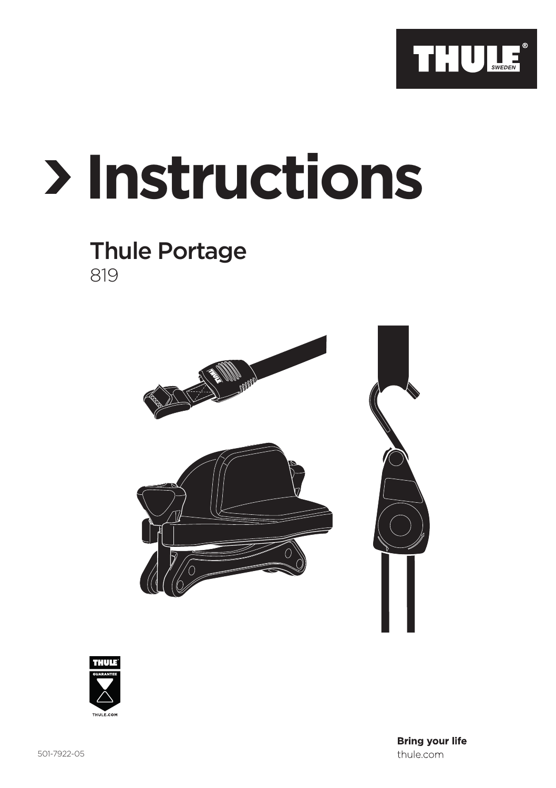

## **Instructions**

## Thule Portage 819





**Bring your life** thule.com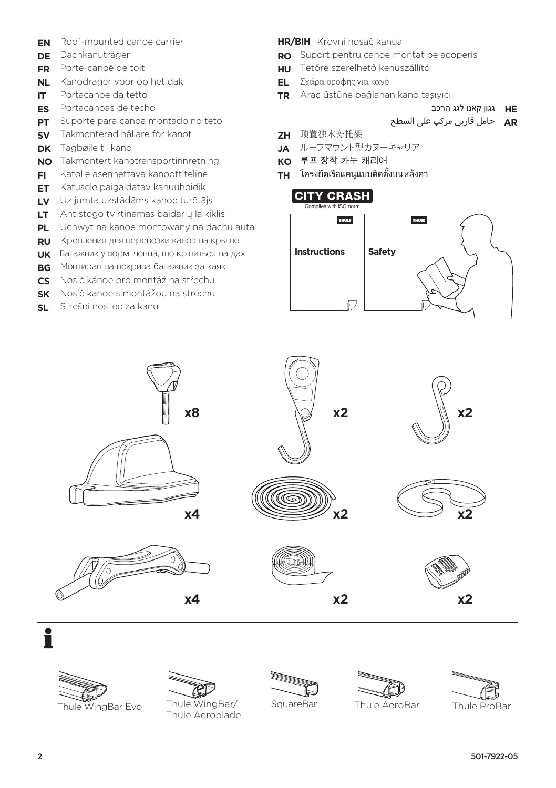- **EN** Roof-mounted canoe carrier
- **DE** Dachkanuträger
- **FR** Porte-canoë de toit
- **NL** Kanodrager voor op het dak
- **IT** Portacanoe da tetto
- **ES** Portacanoas de techo
- **PT** Suporte para canoa montado no teto
- **SV** Takmonterad hållare för kanot
- **DK** Tagbøjle til kano
- **NO** Takmontert kanotransportinnretning
- **FI** Katolle asennettava kanoottiteline
- **ET** Katusele paigaldatav kanuuhoidik
- **LV** Uz jumta uzstādāms kanoe turētājs
- **LT** Ant stogo tvirtinamas baidarių laikiklis
- **PL** Uchwyt na kanoe montowany na dachu auta
- **RU** Крепления для перевозки каноэ на крыше
- **UK** Багажник у формі човна, що кріпиться на дах
- **BG** Монтиран на покрива багажник за каяк
- **CS** Nosič kánoe pro montáž na střechu
- **SK** Nosič kanoe s montážou na strechu
- **SL** Strešni nosilec za kanu

**HR/BIH** Krovni nosač kanua

- **RO** Suport pentru canoe montat pe acoperiş
- **HU** Tetőre szerelhető kenuszállító
- **EL** Σχάρα οροφής για κανό
- **TR** Araç üstüne bağlanan kano taşıyıcı

**HE** גגון קאנו לגג הרכב

**AR** حامل قاربي مركب على السطح

- **ZH** 顶置独木舟托架
- **JA** ルーフマウント型カヌーキャリア
- **KO** 루프 장착 카누 캐리어
- **TH** โครงยึดเรือแคนูแบบติดตั้งบนหลังคา































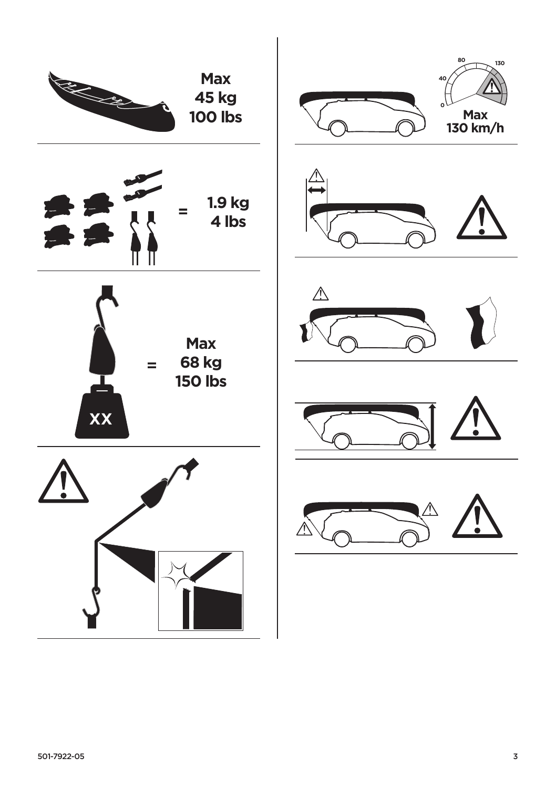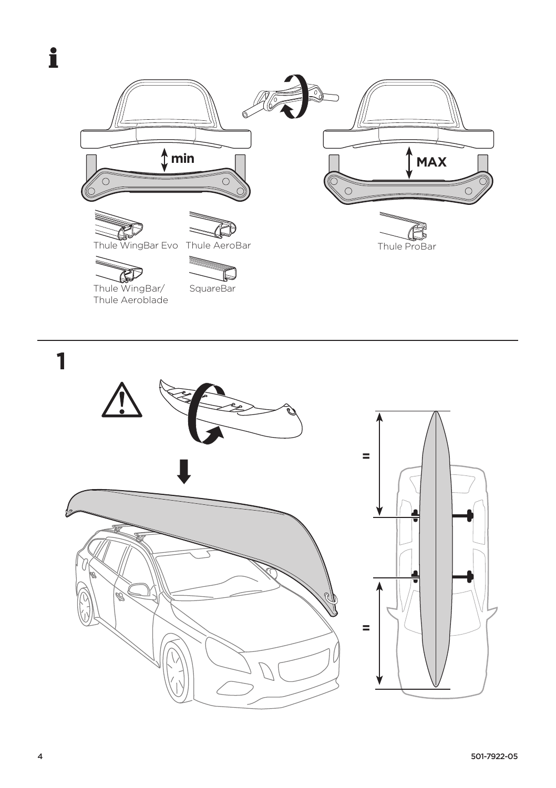





 $\mathbf{1}$  $\equiv$  $\equiv$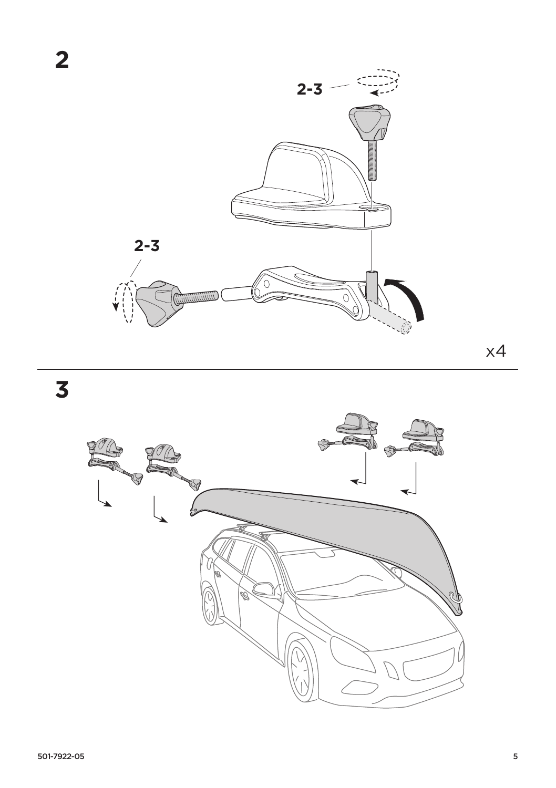

**3**



x4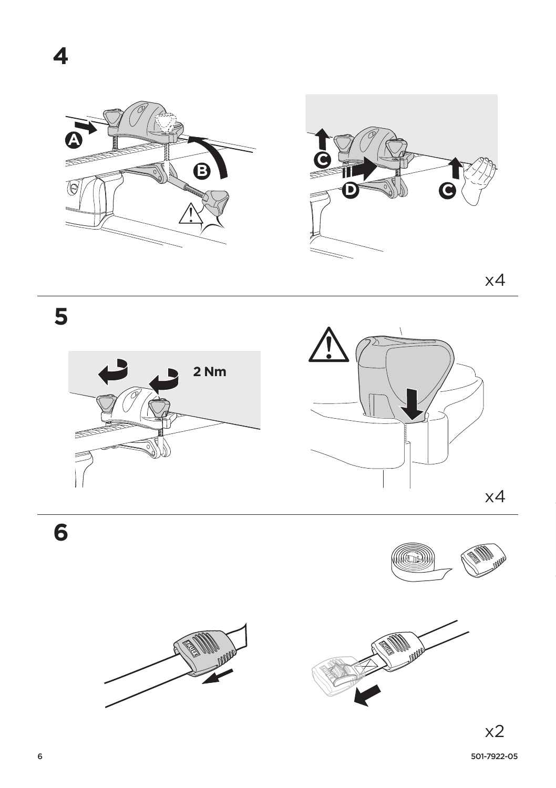

 $x4$ 

5





6



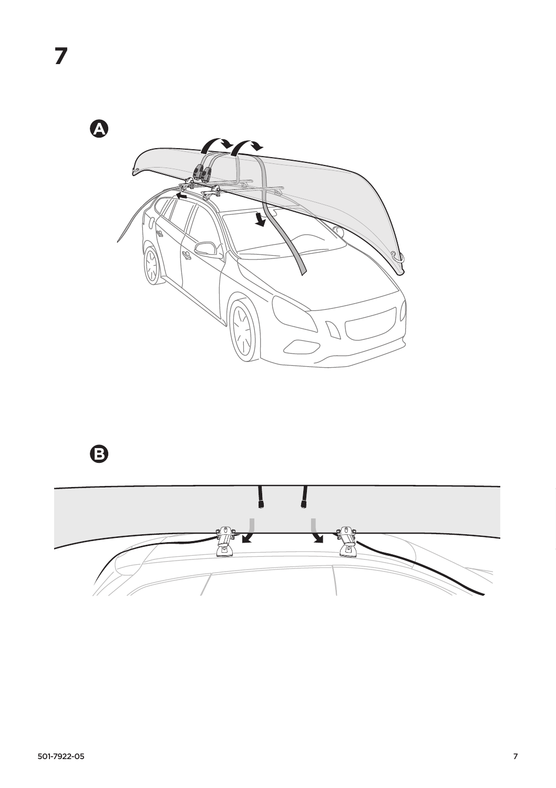$\bullet$ 



 $\Theta$ 

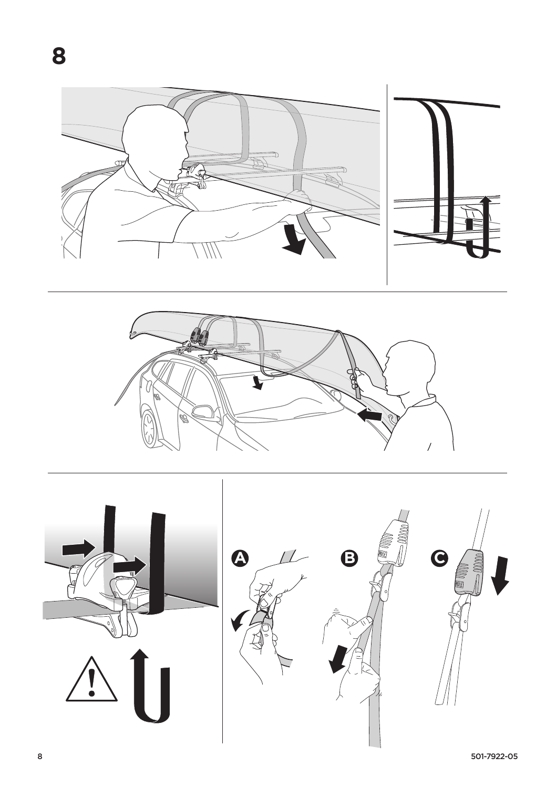



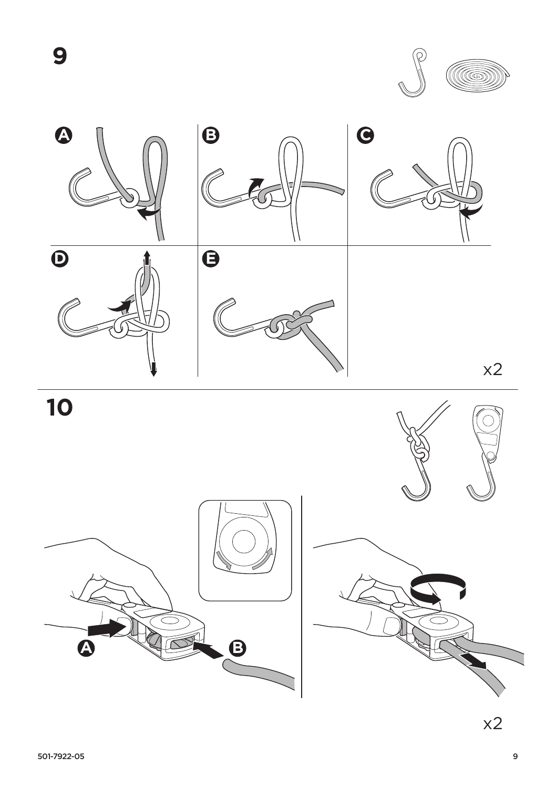9



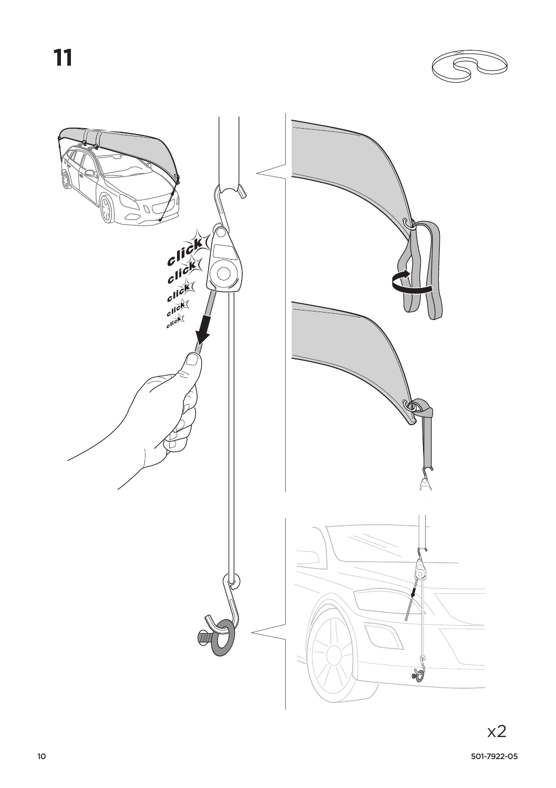11



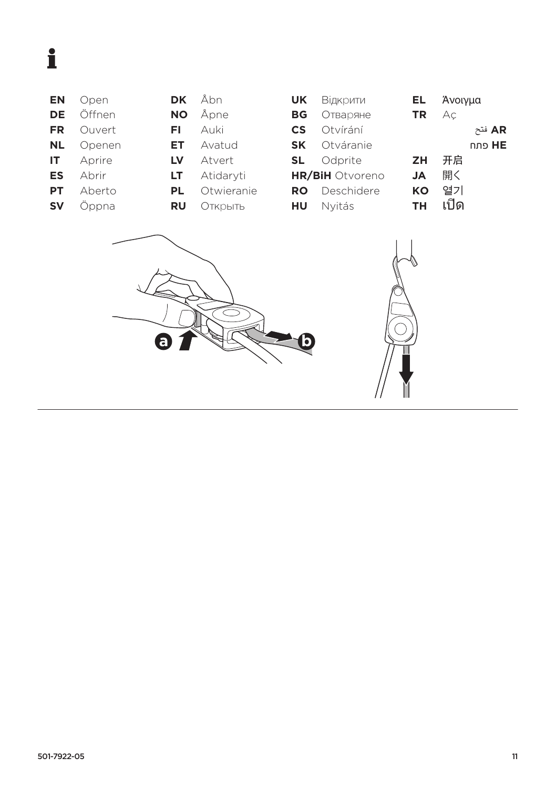## $\mathbf i$

| ΕN | Open   |
|----|--------|
| DE | ∩ffnen |
| FR | Ouvert |
| NL | ∩nener |

- Openen
- Aprire  $\overline{\mathsf{I}\mathsf{T}}$
- **ES** Abrir
- **PT** Aberto
- **SV** Öppna
- NO Åpne Auki FL. Avatud ET. LV Atvert

**DK** 

- LT Atidaryti
- PL Otwieranie

Åbn

**RU OTKPbITb** 

| <b>UK</b> | Відкрити               | EL.       | Άνοιγμα |               |
|-----------|------------------------|-----------|---------|---------------|
| BG        | Отваряне               | TR        | Αс      |               |
| <b>CS</b> | Otvírání               |           |         | AR فتح        |
| <b>SK</b> | Otváranie              |           |         | <b>HE</b> פתח |
| SL.       | Odprite                | ZΗ        | 开启      |               |
|           | <b>HR/BiH</b> Otvoreno | JA        | 開く      |               |
| RO        | Deschidere             | KΟ        | 열기      |               |
| HU        | Nyitás                 | <b>TH</b> | เปิด    |               |